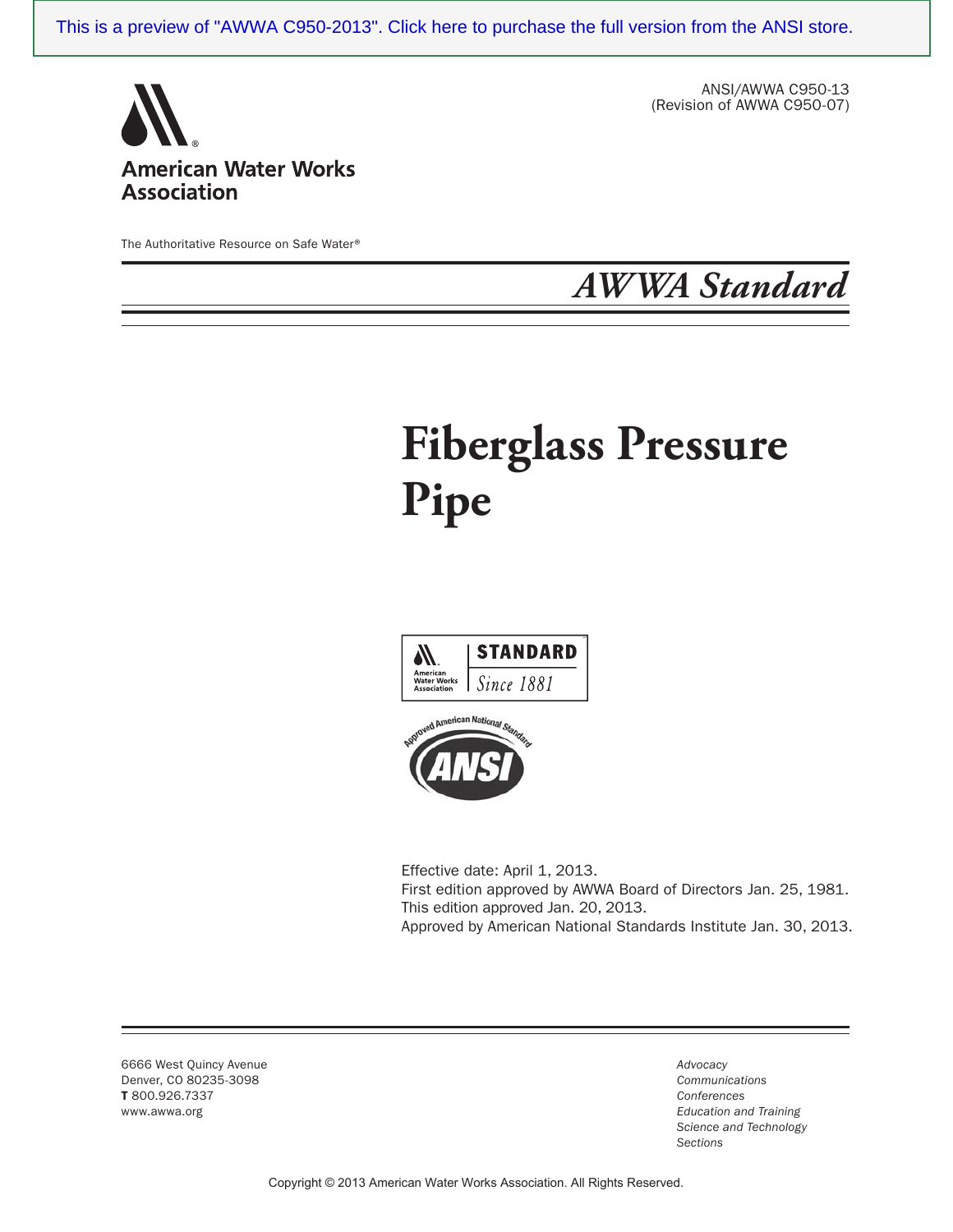[This is a preview of "AWWA C950-2013". Click here to purchase the full version from the ANSI store.](https://webstore.ansi.org/Standards/AWWA/AWWAC9502013?source=preview)



The Authoritative Resource on Safe Water®

ANSI/AWWA C950-13 (Revision of AWWA C950-07)



# **Fiberglass Pressure Pipe**





Effective date: April 1, 2013. First edition approved by AWWA Board of Directors Jan. 25, 1981. This edition approved Jan. 20, 2013. Approved by American National Standards Institute Jan. 30, 2013.

6666 West Quincy Avenue **Advocacy Advocacy Advocacy Advocacy Advocacy Advocacy Advocacy Advocacy Advocacy** Denver, CO 80235-3098 Communications **T** 800.926.7337 Conferences www.awwa.org entertainment of the state of the state of the state of the state of the state of the state of the state of the state of the state of the state of the state of the state of the state of the state of the state

Science and Technology **Sections**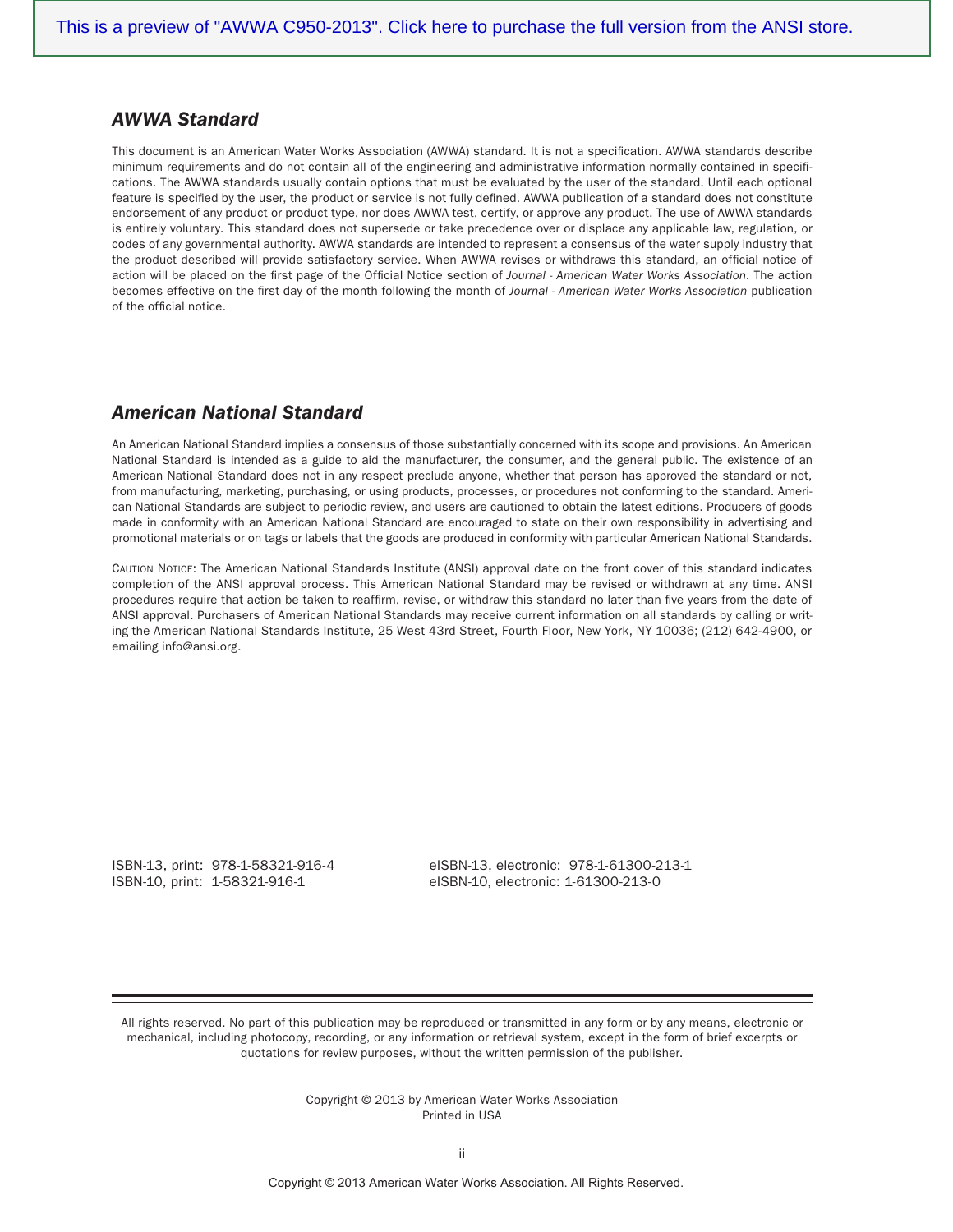#### *AWWA Standard*

This document is an American Water Works Association (AWWA) standard. It is not a specification. AWWA standards describe minimum requirements and do not contain all of the engineering and administrative information normally contained in specifications. The AWWA standards usually contain options that must be evaluated by the user of the standard. Until each optional feature is specified by the user, the product or service is not fully defined. AWWA publication of a standard does not constitute endorsement of any product or product type, nor does AWWA test, certify, or approve any product. The use of AWWA standards is entirely voluntary. This standard does not supersede or take precedence over or displace any applicable law, regulation, or codes of any governmental authority. AWWA standards are intended to represent a consensus of the water supply industry that the product described will provide satisfactory service. When AWWA revises or withdraws this standard, an official notice of action will be placed on the first page of the Official Notice section of Journal - American Water Works Association. The action becomes effective on the first day of the month following the month of Journal - American Water Works Association publication of the official notice.

### *American National Standard*

An American National Standard implies a consensus of those substantially concerned with its scope and provisions. An American National Standard is intended as a guide to aid the manufacturer, the consumer, and the general public. The existence of an American National Standard does not in any respect preclude anyone, whether that person has approved the standard or not, from manufacturing, marketing, purchasing, or using products, processes, or procedures not conforming to the standard. American National Standards are subject to periodic review, and users are cautioned to obtain the latest editions. Producers of goods made in conformity with an American National Standard are encouraged to state on their own responsibility in advertising and promotional materials or on tags or labels that the goods are produced in conformity with particular American National Standards.

CAUTION NOTICE: The American National Standards Institute (ANSI) approval date on the front cover of this standard indicates completion of the ANSI approval process. This American National Standard may be revised or withdrawn at any time. ANSI procedures require that action be taken to reaffirm, revise, or withdraw this standard no later than five years from the date of ANSI approval. Purchasers of American National Standards may receive current information on all standards by calling or writing the American National Standards Institute, 25 West 43rd Street, Fourth Floor, New York, NY 10036; (212) 642-4900, or emailing info@ansi.org.

ISBN-13, print: 978-1-58321-916-4 eISBN-13, electronic: 978-1-61300-213-1 ISBN-10, print: 1-58321-916-1 eISBN-10, electronic: 1-61300-213-0

All rights reserved. No part of this publication may be reproduced or transmitted in any form or by any means, electronic or mechanical, including photocopy, recording, or any information or retrieval system, except in the form of brief excerpts or quotations for review purposes, without the written permission of the publisher.

> Copyright © 2013 by American Water Works Association Printed in USA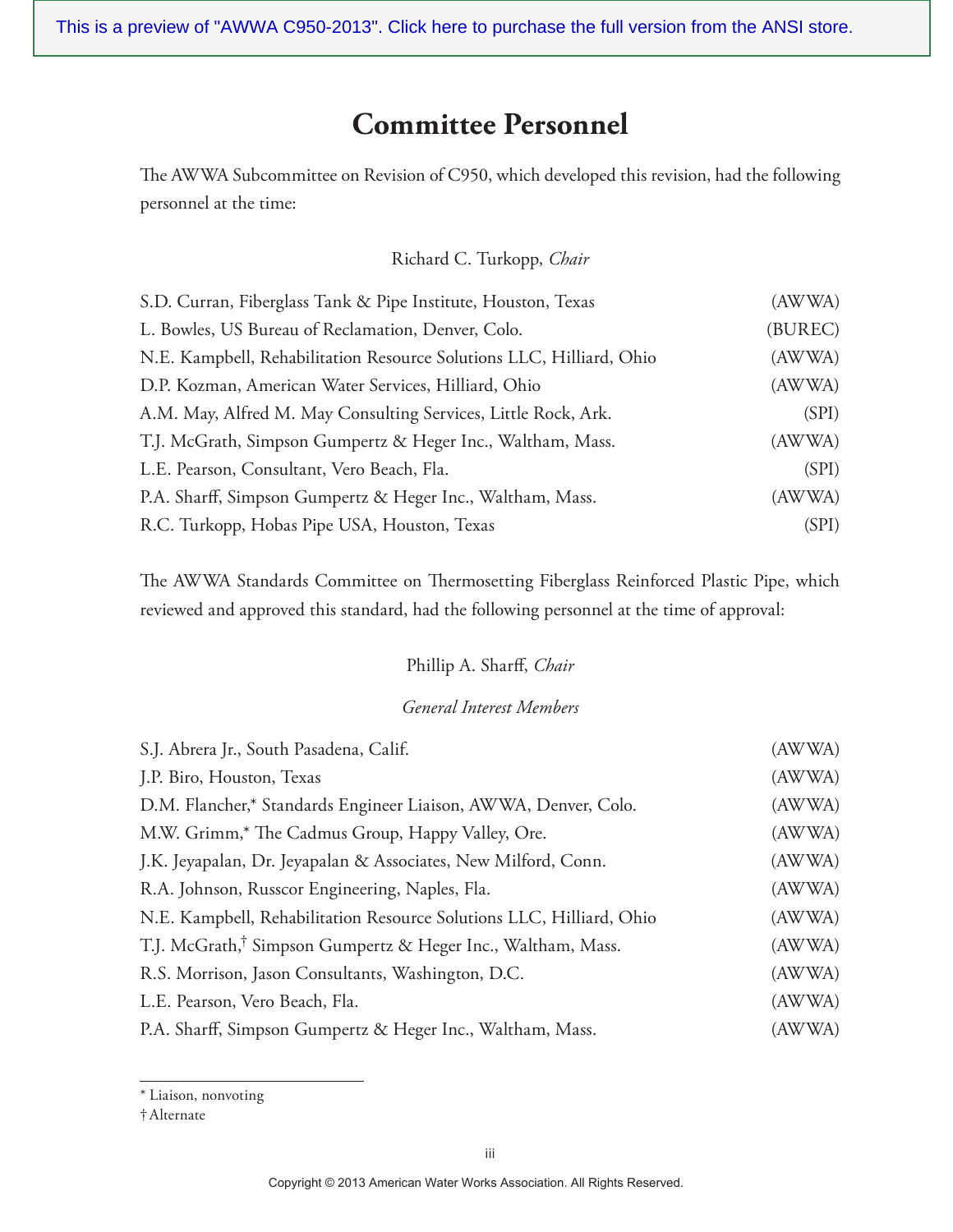# **Committee Personnel**

The AWWA Subcommittee on Revision of C950, which developed this revision, had the following personnel at the time:

## Richard C. Turkopp, *Chair*

| S.D. Curran, Fiberglass Tank & Pipe Institute, Houston, Texas        | (AWWA)  |
|----------------------------------------------------------------------|---------|
| L. Bowles, US Bureau of Reclamation, Denver, Colo.                   | (BUREC) |
| N.E. Kampbell, Rehabilitation Resource Solutions LLC, Hilliard, Ohio | (AWW)   |
| D.P. Kozman, American Water Services, Hilliard, Ohio                 | (AWW)   |
| A.M. May, Alfred M. May Consulting Services, Little Rock, Ark.       | (SPI)   |
| T.J. McGrath, Simpson Gumpertz & Heger Inc., Waltham, Mass.          | (AWWA)  |
| L.E. Pearson, Consultant, Vero Beach, Fla.                           | (SPI)   |
| P.A. Sharff, Simpson Gumpertz & Heger Inc., Waltham, Mass.           | (AWWA)  |
| R.C. Turkopp, Hobas Pipe USA, Houston, Texas                         | (SPI)   |

The AWWA Standards Committee on Thermosetting Fiberglass Reinforced Plastic Pipe, which reviewed and approved this standard, had the following personnel at the time of approval:

### Phillip A. Sharff, *Chair*

## *General Interest Members*

| S.J. Abrera Jr., South Pasadena, Calif.                                  | (AWWA) |
|--------------------------------------------------------------------------|--------|
| J.P. Biro, Houston, Texas                                                | (AWWA) |
| D.M. Flancher,* Standards Engineer Liaison, AWWA, Denver, Colo.          | (AWWA) |
| M.W. Grimm,* The Cadmus Group, Happy Valley, Ore.                        | (AWWA) |
| J.K. Jeyapalan, Dr. Jeyapalan & Associates, New Milford, Conn.           | (AWW)  |
| R.A. Johnson, Russcor Engineering, Naples, Fla.                          | (AWWA) |
| N.E. Kampbell, Rehabilitation Resource Solutions LLC, Hilliard, Ohio     | (AWWA) |
| T.J. McGrath, <sup>†</sup> Simpson Gumpertz & Heger Inc., Waltham, Mass. | (AWWA) |
| R.S. Morrison, Jason Consultants, Washington, D.C.                       | (AWWA) |
| L.E. Pearson, Vero Beach, Fla.                                           | (AWWA) |
| P.A. Sharff, Simpson Gumpertz & Heger Inc., Waltham, Mass.               | (AWWA) |

<sup>\*</sup> Liaison, nonvoting

<sup>†</sup>Alternate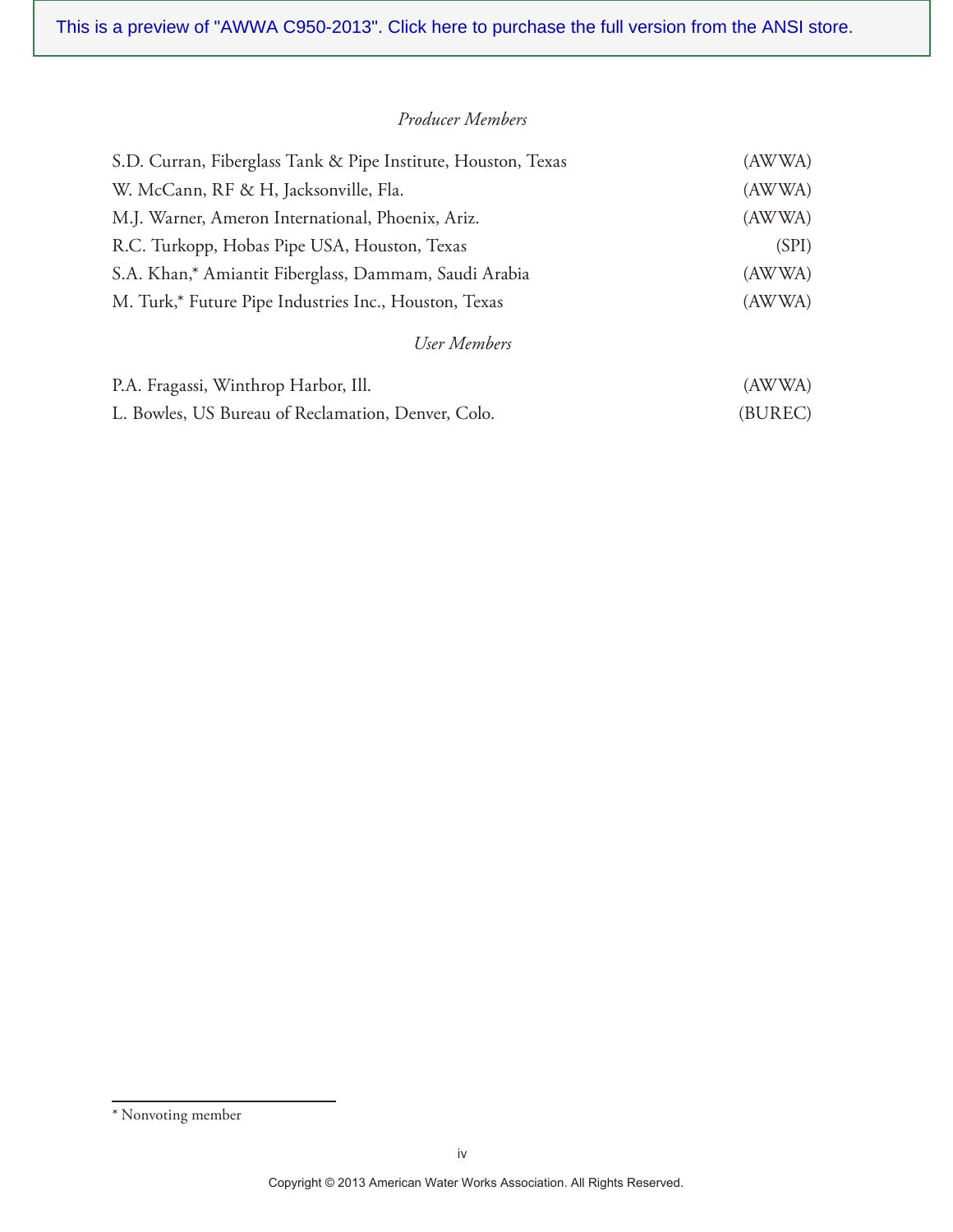# *Producer Members*

| S.D. Curran, Fiberglass Tank & Pipe Institute, Houston, Texas | (AWWWA) |
|---------------------------------------------------------------|---------|
| W. McCann, RF & H, Jacksonville, Fla.                         | (AWWWA) |
| M.J. Warner, Ameron International, Phoenix, Ariz.             | (AWWWA) |
| R.C. Turkopp, Hobas Pipe USA, Houston, Texas                  | (SPI)   |
| S.A. Khan,* Amiantit Fiberglass, Dammam, Saudi Arabia         | (AWWWA) |
| M. Turk,* Future Pipe Industries Inc., Houston, Texas         | (AWWWA) |
| User Members                                                  |         |

| P.A. Fragassi, Winthrop Harbor, Ill.               | (AWWA)  |
|----------------------------------------------------|---------|
| L. Bowles, US Bureau of Reclamation, Denver, Colo. | (BUREC) |

<sup>\*</sup> Nonvoting member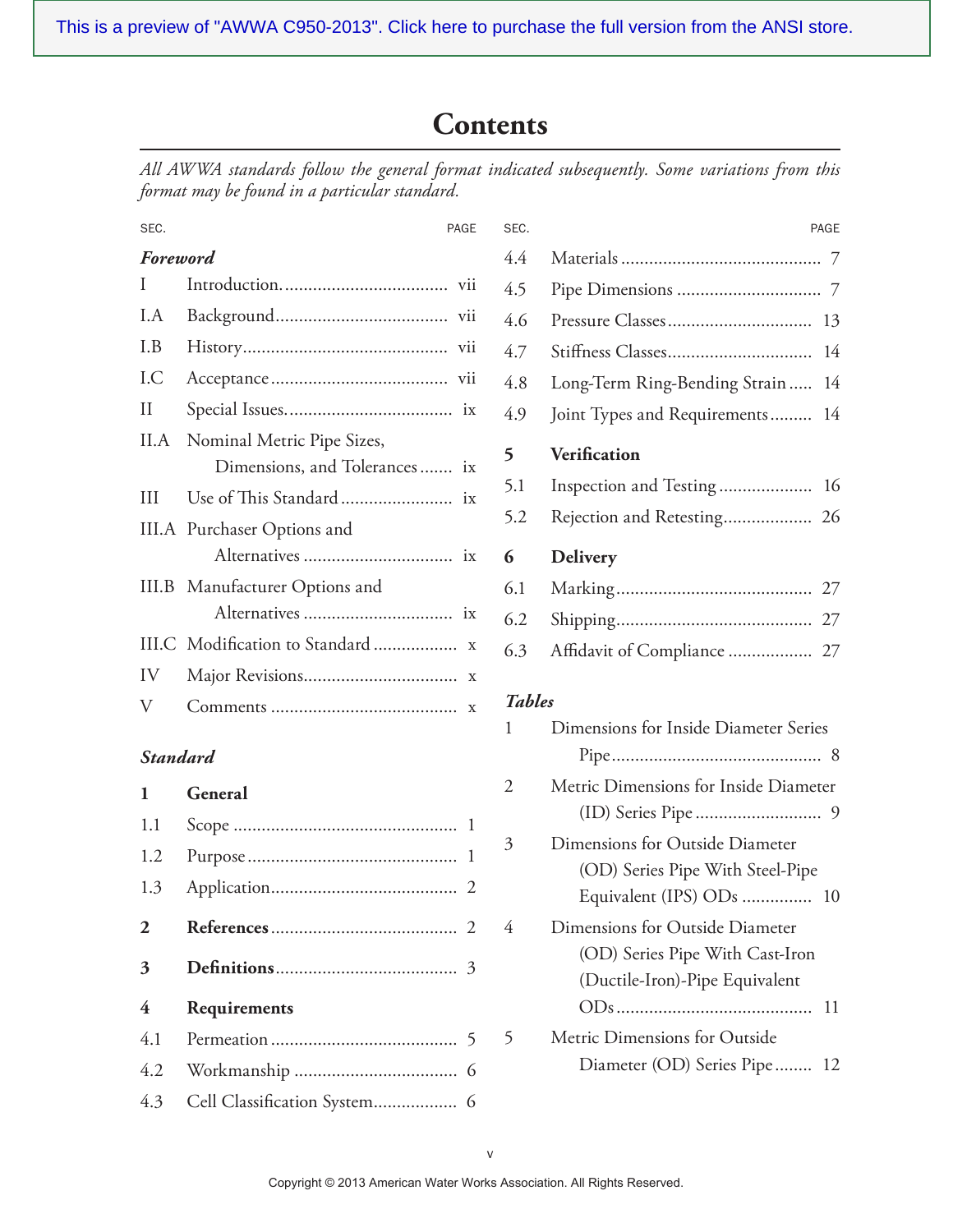# **Contents**

*All AWWA standards follow the general format indicated subsequently. Some variations from this format may be found in a particular standard.*

| SEC.            | PAGE                                                        | SEC.          |                                   | PAGE |
|-----------------|-------------------------------------------------------------|---------------|-----------------------------------|------|
| <b>Foreword</b> |                                                             | 4.4           |                                   |      |
| L               |                                                             | 4.5           |                                   |      |
| I.A             |                                                             | 4.6           |                                   |      |
| I.B             |                                                             | 4.7           |                                   |      |
| I.C             |                                                             | 4.8           | Long-Term Ring-Bending Strain  14 |      |
| $\rm II$        |                                                             | 4.9           | Joint Types and Requirements 14   |      |
| II.A            | Nominal Metric Pipe Sizes,<br>Dimensions, and Tolerances ix | $\mathbf 5$   | Verification                      |      |
| Ш               |                                                             | 5.1           |                                   |      |
|                 | III.A Purchaser Options and                                 | 5.2           |                                   |      |
|                 |                                                             | 6             | <b>Delivery</b>                   |      |
|                 | III.B Manufacturer Options and                              | 6.1           |                                   |      |
|                 |                                                             | 6.2           |                                   |      |
|                 |                                                             | 6.3           |                                   |      |
| IV              |                                                             |               |                                   |      |
| V               |                                                             | <b>Tables</b> |                                   |      |

# *Standard*

| $1 -$          | General      |  |
|----------------|--------------|--|
| 1.1            |              |  |
| 1.2            |              |  |
| 1.3            |              |  |
| $\mathbf{2}$   |              |  |
| 3              |              |  |
| $\overline{4}$ | Requirements |  |
| 4.1            |              |  |
|                |              |  |
| 4.2            |              |  |

| SEC.           | PAGE                                                                                                       |
|----------------|------------------------------------------------------------------------------------------------------------|
| 4.4            |                                                                                                            |
| 4.5            |                                                                                                            |
| 4.6            |                                                                                                            |
| 4.7            | 14                                                                                                         |
| 4.8            | Long-Term Ring-Bending Strain<br>14                                                                        |
| 4.9            | Joint Types and Requirements 14                                                                            |
| 5              | <b>Verification</b>                                                                                        |
| 5.1            | Inspection and Testing 16                                                                                  |
| 5.2            | Rejection and Retesting 26                                                                                 |
| 6              | <b>Delivery</b>                                                                                            |
| 6.1            |                                                                                                            |
| 6.2            |                                                                                                            |
| 6.3            | Affidavit of Compliance  27                                                                                |
| <b>Tables</b>  |                                                                                                            |
| 1              | Dimensions for Inside Diameter Series                                                                      |
| $\overline{c}$ | Metric Dimensions for Inside Diameter                                                                      |
| 3              | Dimensions for Outside Diameter<br>(OD) Series Pipe With Steel-Pipe<br>Equivalent (IPS) ODs  10            |
| 4              | Dimensions for Outside Diameter<br>(OD) Series Pipe With Cast-Iron<br>(Ductile-Iron)-Pipe Equivalent<br>11 |
| 5              | Metric Dimensions for Outside<br>Diameter (OD) Series Pipe<br>12                                           |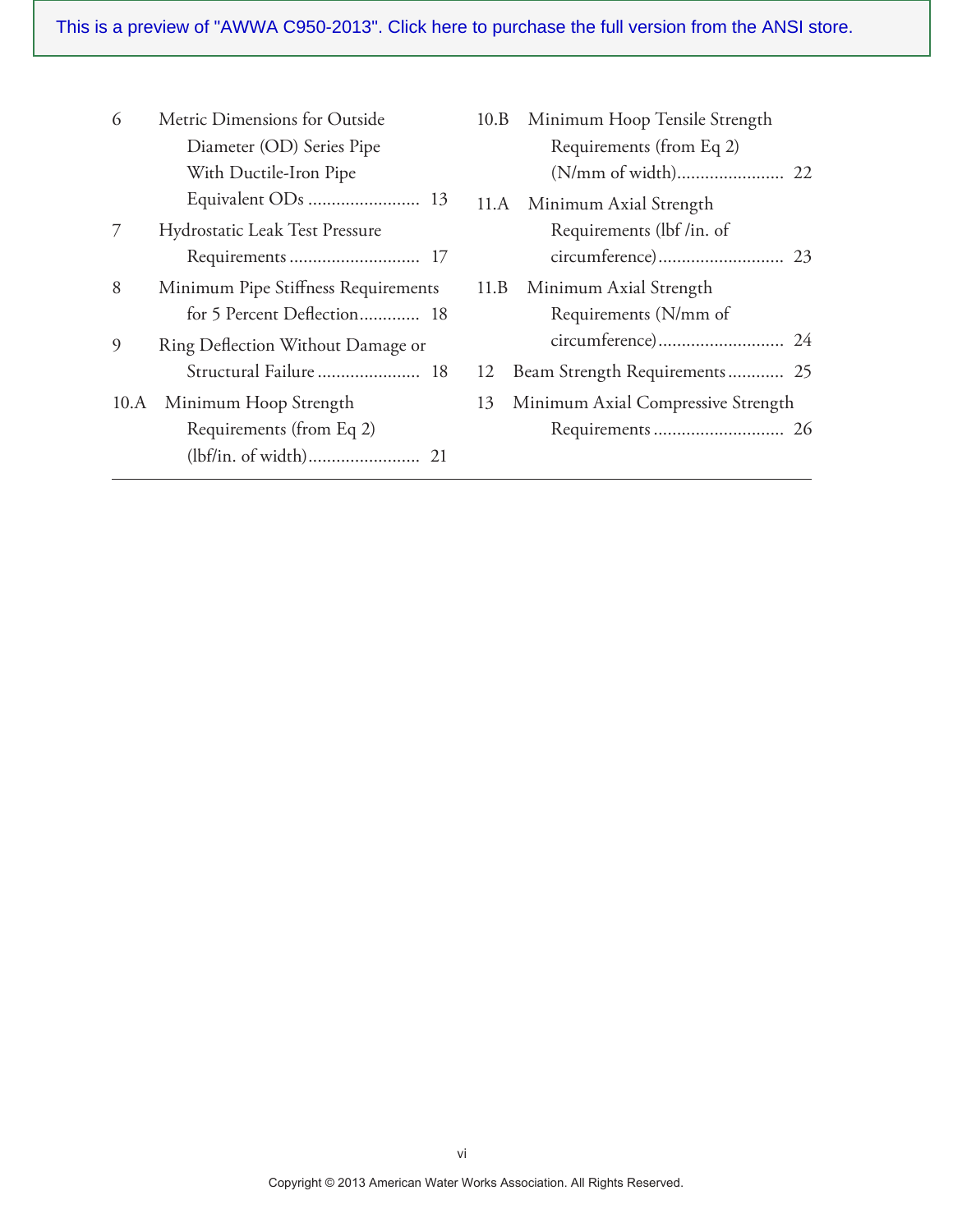| 6    | Metric Dimensions for Outside         | 10.B | Minimum Hoop Tensile Strength      |
|------|---------------------------------------|------|------------------------------------|
|      | Diameter (OD) Series Pipe             |      | Requirements (from Eq 2)           |
|      | With Ductile-Iron Pipe                |      |                                    |
|      | Equivalent ODs  13                    |      | 11.A Minimum Axial Strength        |
|      | <b>Hydrostatic Leak Test Pressure</b> |      | Requirements (lbf /in. of          |
|      |                                       |      |                                    |
| 8    | Minimum Pipe Stiffness Requirements   | 11.B | Minimum Axial Strength             |
|      | for 5 Percent Deflection 18           |      | Requirements (N/mm of              |
| 9    | Ring Deflection Without Damage or     |      |                                    |
|      |                                       | 12   | Beam Strength Requirements 25      |
| 10.A | Minimum Hoop Strength                 | 13   | Minimum Axial Compressive Strength |
|      | Requirements (from Eq 2)              |      |                                    |
|      |                                       |      |                                    |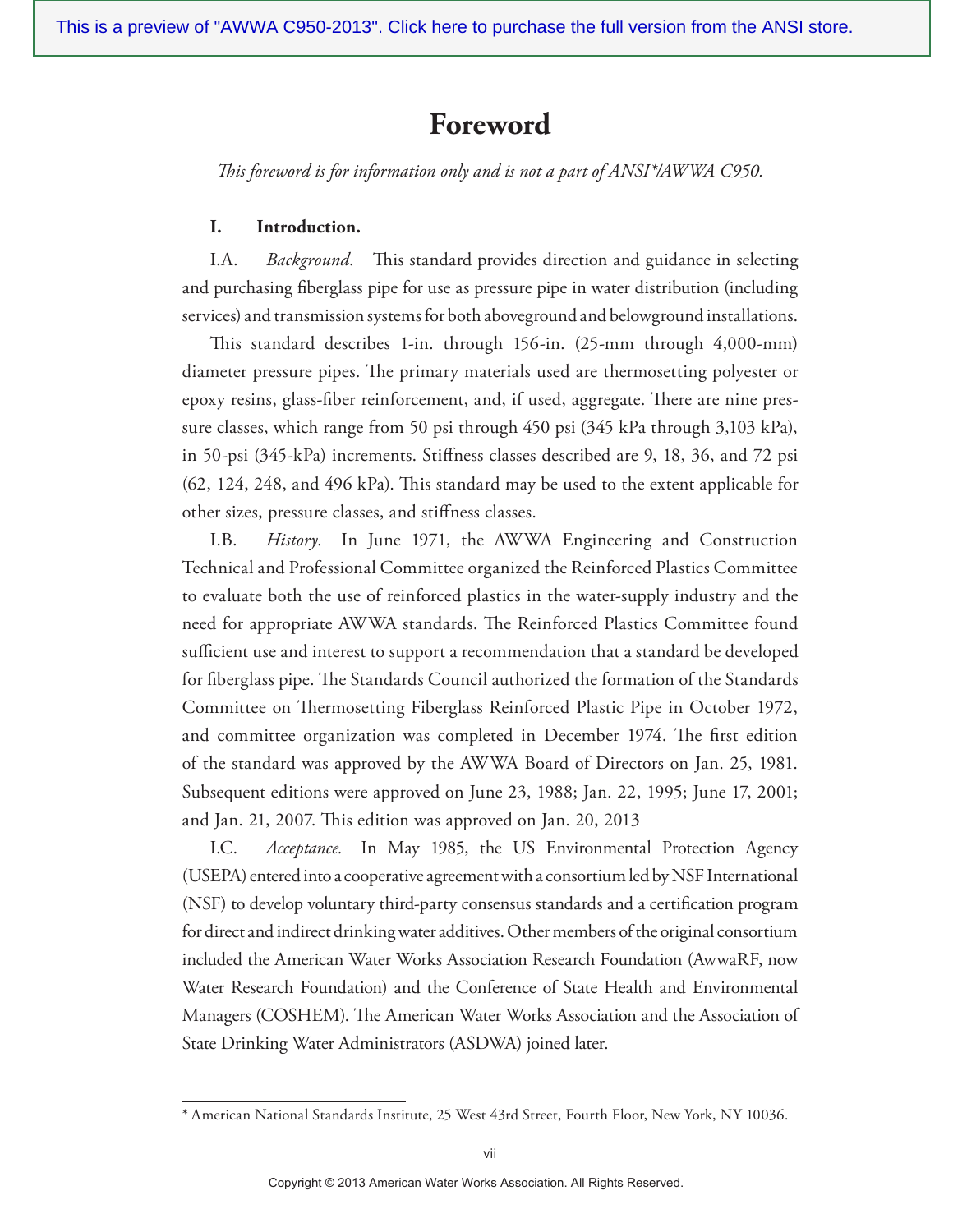# **Foreword**

*This foreword is for information only and is not a part of ANSI\*/AWWA C950.*

#### **I. Introduction.**

I.A. *Background.* This standard provides direction and guidance in selecting and purchasing fiberglass pipe for use as pressure pipe in water distribution (including services) and transmission systems for both aboveground and belowground installations.

This standard describes 1-in. through 156-in. (25-mm through 4,000-mm) diameter pressure pipes. The primary materials used are thermosetting polyester or epoxy resins, glass-fiber reinforcement, and, if used, aggregate. There are nine pressure classes, which range from 50 psi through 450 psi (345 kPa through 3,103 kPa), in 50-psi (345-kPa) increments. Stiffness classes described are 9, 18, 36, and 72 psi (62, 124, 248, and 496 kPa). This standard may be used to the extent applicable for other sizes, pressure classes, and stiffness classes.

I.B. *History.* In June 1971, the AWWA Engineering and Construction Technical and Professional Committee organized the Reinforced Plastics Committee to evaluate both the use of reinforced plastics in the water-supply industry and the need for appropriate AWWA standards. The Reinforced Plastics Committee found sufficient use and interest to support a recommendation that a standard be developed for fiberglass pipe. The Standards Council authorized the formation of the Standards Committee on Thermosetting Fiberglass Reinforced Plastic Pipe in October 1972, and committee organization was completed in December 1974. The first edition of the standard was approved by the AWWA Board of Directors on Jan. 25, 1981. Subsequent editions were approved on June 23, 1988; Jan. 22, 1995; June 17, 2001; and Jan. 21, 2007. This edition was approved on Jan. 20, 2013

I.C. *Acceptance.* In May 1985, the US Environmental Protection Agency (USEPA) entered into a cooperative agreement with a consortium led by NSF International (NSF) to develop voluntary third-party consensus standards and a certification program for direct and indirect drinking water additives. Other members of the original consortium included the American Water Works Association Research Foundation (AwwaRF, now Water Research Foundation) and the Conference of State Health and Environmental Managers (COSHEM). The American Water Works Association and the Association of State Drinking Water Administrators (ASDWA) joined later.

<sup>\*</sup> American National Standards Institute, 25 West 43rd Street, Fourth Floor, New York, NY 10036.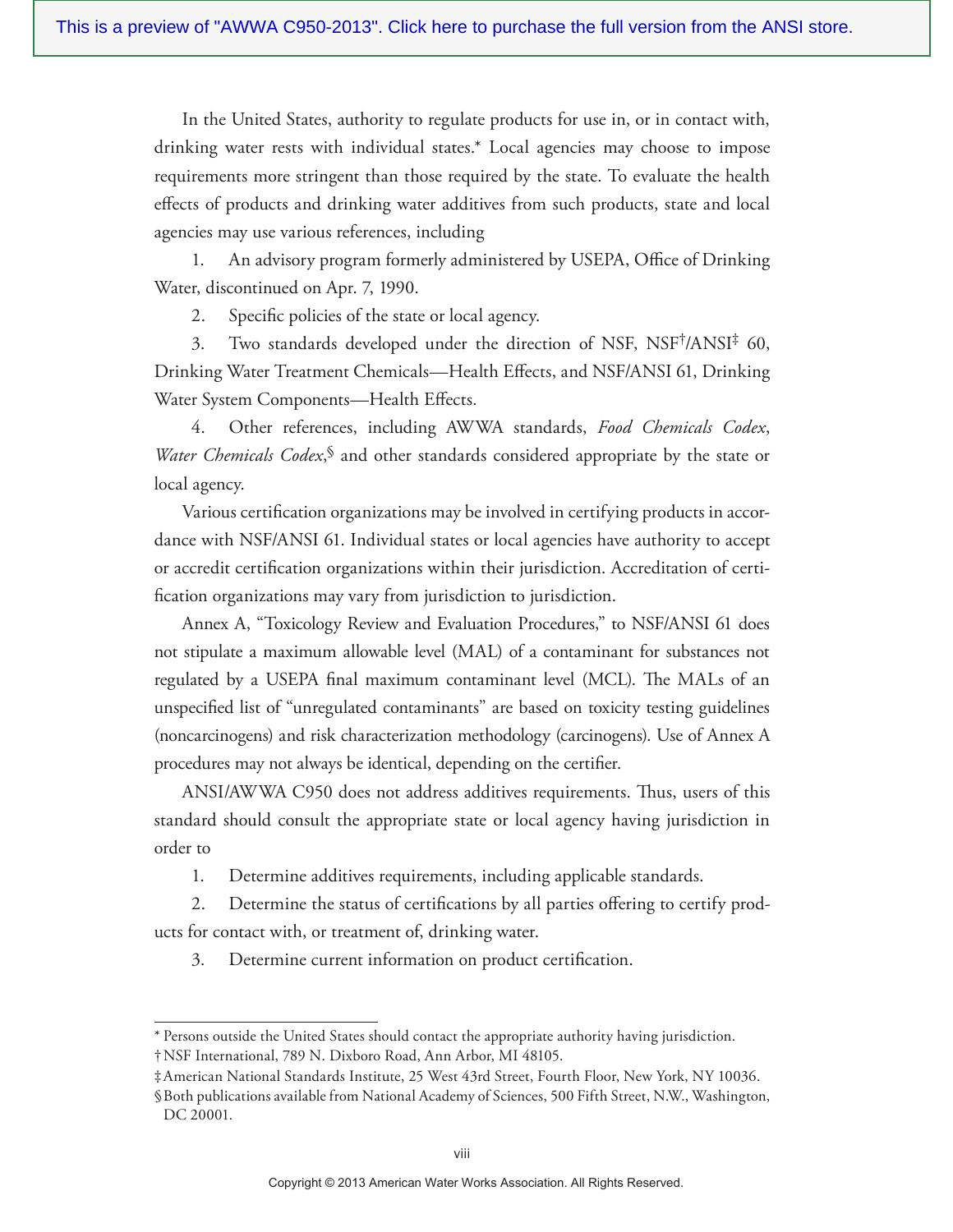In the United States, authority to regulate products for use in, or in contact with, drinking water rests with individual states.\* Local agencies may choose to impose requirements more stringent than those required by the state. To evaluate the health effects of products and drinking water additives from such products, state and local agencies may use various references, including

1. An advisory program formerly administered by USEPA, Office of Drinking Water, discontinued on Apr. 7, 1990.

2. Specific policies of the state or local agency.

3. Two standards developed under the direction of NSF, NSF†/ANSI‡ 60, Drinking Water Treatment Chemicals—Health Effects, and NSF/ANSI 61, Drinking Water System Components—Health Effects.

4. Other references, including AWWA standards, *Food Chemicals Codex*, *Water Chemicals Codex*, § and other standards considered appropriate by the state or local agency.

Various certification organizations may be involved in certifying products in accordance with NSF/ANSI 61. Individual states or local agencies have authority to accept or accredit certification organizations within their jurisdiction. Accreditation of certification organizations may vary from jurisdiction to jurisdiction.

Annex A, "Toxicology Review and Evaluation Procedures," to NSF/ANSI 61 does not stipulate a maximum allowable level (MAL) of a contaminant for substances not regulated by a USEPA final maximum contaminant level (MCL). The MALs of an unspecified list of "unregulated contaminants" are based on toxicity testing guidelines (noncarcinogens) and risk characterization methodology (carcinogens). Use of Annex A procedures may not always be identical, depending on the certifier.

ANSI/AWWA C950 does not address additives requirements. Thus, users of this standard should consult the appropriate state or local agency having jurisdiction in order to

1. Determine additives requirements, including applicable standards.

2. Determine the status of certifications by all parties offering to certify products for contact with, or treatment of, drinking water.

3. Determine current information on product certification.

<sup>\*</sup> Persons outside the United States should contact the appropriate authority having jurisdiction. †NSF International, 789 N. Dixboro Road, Ann Arbor, MI 48105.

<sup>‡</sup>American National Standards Institute, 25 West 43rd Street, Fourth Floor, New York, NY 10036.

<sup>§</sup>Both publications available from National Academy of Sciences, 500 Fifth Street, N.W., Washington, DC 20001.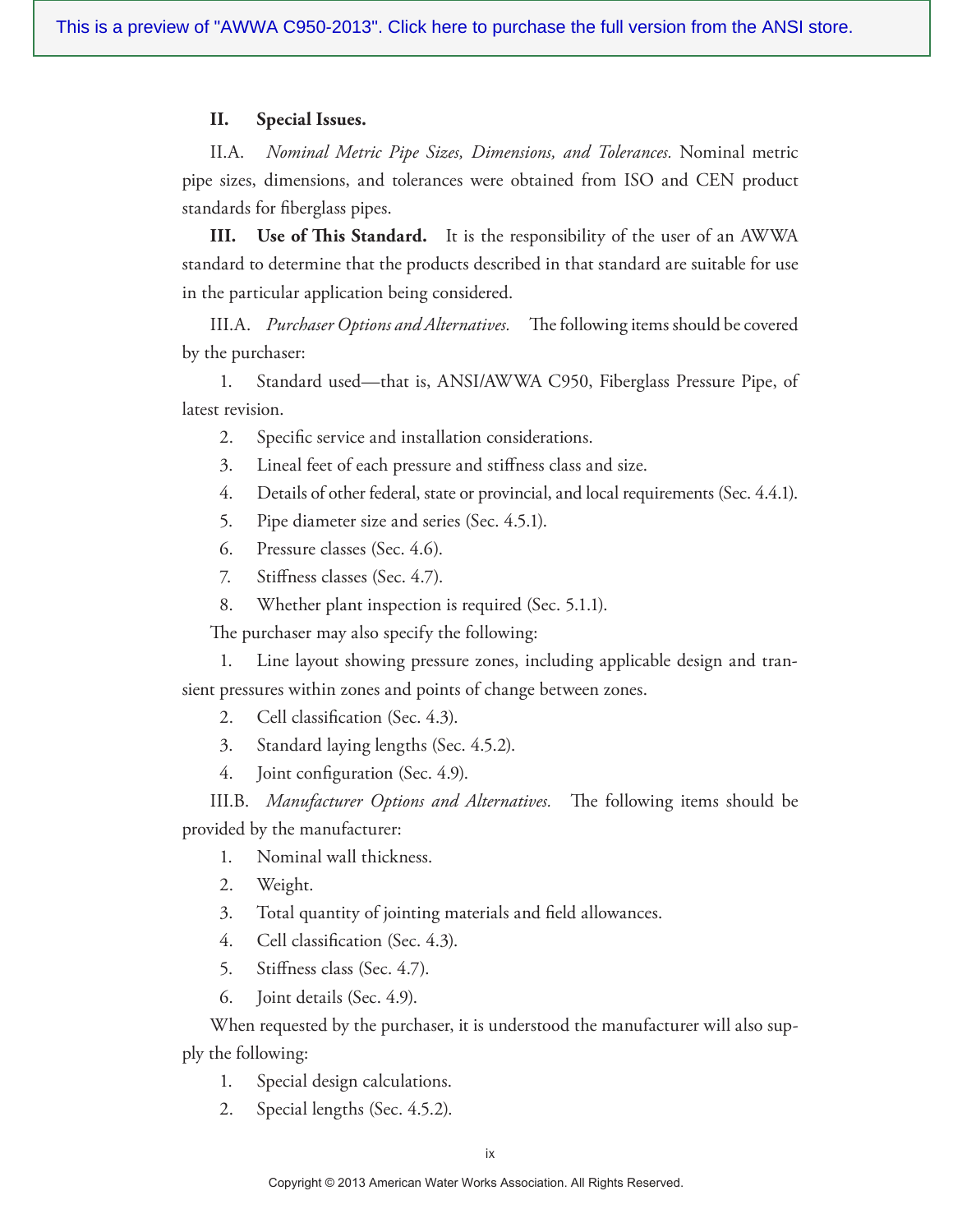### **II. Special Issues.**

II.A. *Nominal Metric Pipe Sizes, Dimensions, and Tolerances.* Nominal metric pipe sizes, dimensions, and tolerances were obtained from ISO and CEN product standards for fiberglass pipes.

**III. Use of This Standard.** It is the responsibility of the user of an AWWA standard to determine that the products described in that standard are suitable for use in the particular application being considered.

III.A. *Purchaser Options and Alternatives.* The following items should be covered by the purchaser:

1. Standard used—that is, ANSI/AWWA C950, Fiberglass Pressure Pipe, of latest revision.

- 2. Specific service and installation considerations.
- 3. Lineal feet of each pressure and stiffness class and size.
- 4. Details of other federal, state or provincial, and local requirements (Sec. 4.4.1).
- 5. Pipe diameter size and series (Sec. 4.5.1).
- 6. Pressure classes (Sec. 4.6).
- 7. Stiffness classes (Sec. 4.7).
- 8. Whether plant inspection is required (Sec. 5.1.1).

The purchaser may also specify the following:

1. Line layout showing pressure zones, including applicable design and transient pressures within zones and points of change between zones.

2. Cell classification (Sec. 4.3).

- 3. Standard laying lengths (Sec. 4.5.2).
- 4. Joint configuration (Sec. 4.9).

III.B. *Manufacturer Options and Alternatives.* The following items should be provided by the manufacturer:

- 1. Nominal wall thickness.
- 2. Weight.
- 3. Total quantity of jointing materials and field allowances.
- 4. Cell classification (Sec. 4.3).
- 5. Stiffness class (Sec. 4.7).
- 6. Joint details (Sec. 4.9).

When requested by the purchaser, it is understood the manufacturer will also supply the following:

- 1. Special design calculations.
- 2. Special lengths (Sec. 4.5.2).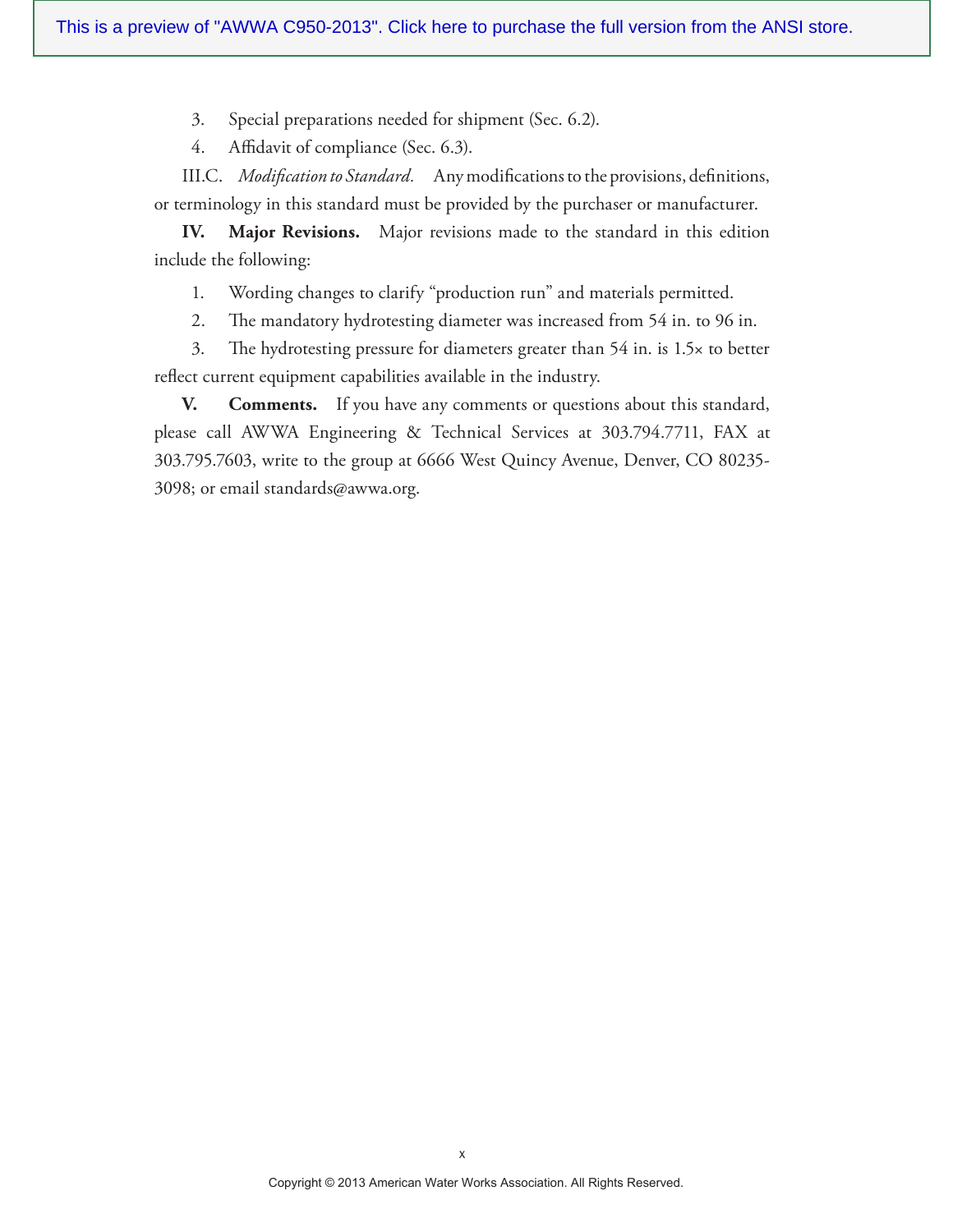- 3. Special preparations needed for shipment (Sec. 6.2).
- 4. Affidavit of compliance (Sec. 6.3).

III.C. *Modification to Standard.* Any modifications to the provisions, definitions, or terminology in this standard must be provided by the purchaser or manufacturer.

**IV. Major Revisions.** Major revisions made to the standard in this edition include the following:

1. Wording changes to clarify "production run" and materials permitted.

2. The mandatory hydrotesting diameter was increased from 54 in. to 96 in.

3. The hydrotesting pressure for diameters greater than 54 in. is 1.5× to better reflect current equipment capabilities available in the industry.

**V. Comments.** If you have any comments or questions about this standard, please call AWWA Engineering & Technical Services at 303.794.7711, FAX at 303.795.7603, write to the group at 6666 West Quincy Avenue, Denver, CO 80235- 3098; or email standards@awwa.org.